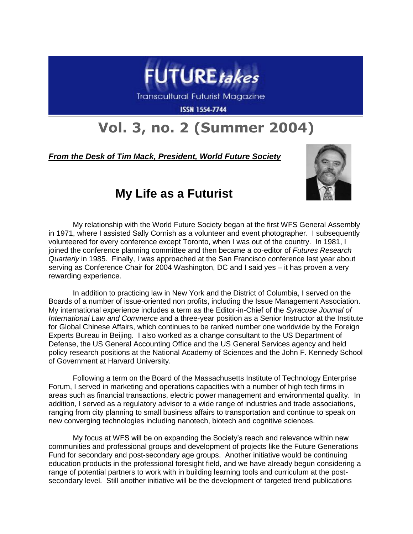

Transcultural Futurist Magazine

**ISSN 1554-7744** 

## **Vol. 3, no. 2 (Summer 2004)**

## *From the Desk of Tim Mack, President, World Future Society*



## **My Life as a Futurist**

My relationship with the World Future Society began at the first WFS General Assembly in 1971, where I assisted Sally Cornish as a volunteer and event photographer. I subsequently volunteered for every conference except Toronto, when I was out of the country. In 1981, I joined the conference planning committee and then became a co-editor of *Futures Research Quarterly* in 1985. Finally, I was approached at the San Francisco conference last year about serving as Conference Chair for 2004 Washington, DC and I said yes – it has proven a very rewarding experience.

In addition to practicing law in New York and the District of Columbia, I served on the Boards of a number of issue-oriented non profits, including the Issue Management Association. My international experience includes a term as the Editor-in-Chief of the *Syracuse Journal of International Law and Commerce* and a three-year position as a Senior Instructor at the Institute for Global Chinese Affairs, which continues to be ranked number one worldwide by the Foreign Experts Bureau in Beijing. I also worked as a change consultant to the US Department of Defense, the US General Accounting Office and the US General Services agency and held policy research positions at the National Academy of Sciences and the John F. Kennedy School of Government at Harvard University.

Following a term on the Board of the Massachusetts Institute of Technology Enterprise Forum, I served in marketing and operations capacities with a number of high tech firms in areas such as financial transactions, electric power management and environmental quality. In addition, I served as a regulatory advisor to a wide range of industries and trade associations, ranging from city planning to small business affairs to transportation and continue to speak on new converging technologies including nanotech, biotech and cognitive sciences.

My focus at WFS will be on expanding the Society's reach and relevance within new communities and professional groups and development of projects like the Future Generations Fund for secondary and post-secondary age groups. Another initiative would be continuing education products in the professional foresight field, and we have already begun considering a range of potential partners to work with in building learning tools and curriculum at the postsecondary level. Still another initiative will be the development of targeted trend publications